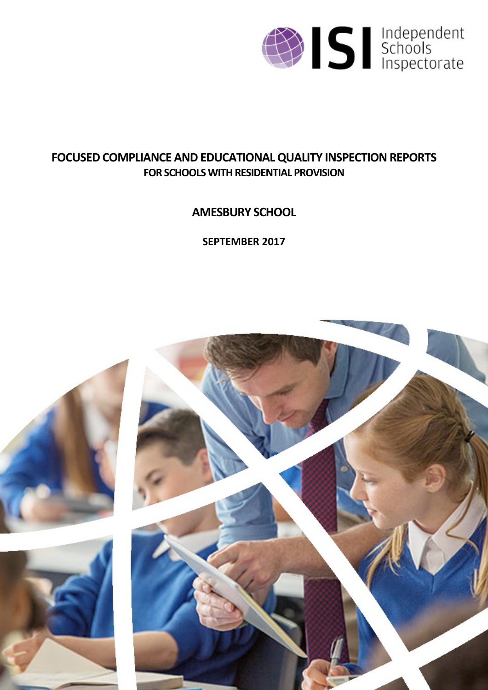

# **FOCUSED COMPLIANCE AND EDUCATIONALQUALITY INSPECTIONREPORTS FOR SCHOOLS WITH RESIDENTIAL PROVISION**

**AMESBURY SCHOOL**

**SEPTEMBER 2017**

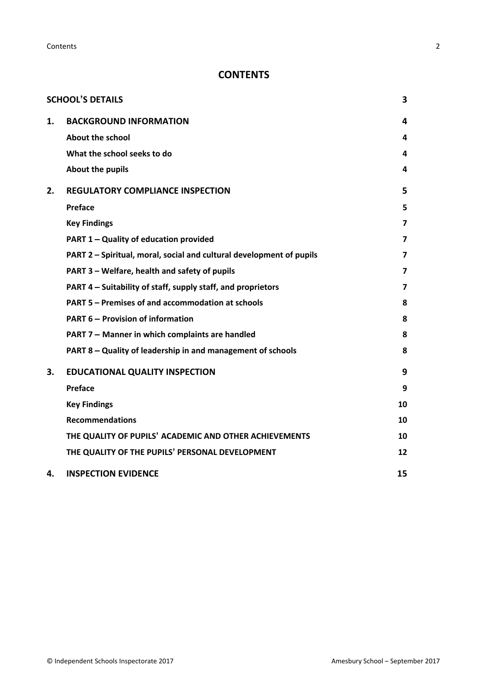**Contents** 2

# **CONTENTS**

|    | <b>SCHOOL'S DETAILS</b>                                              | 3              |
|----|----------------------------------------------------------------------|----------------|
| 1. | <b>BACKGROUND INFORMATION</b>                                        | 4              |
|    | About the school                                                     | 4              |
|    | What the school seeks to do                                          | 4              |
|    | About the pupils                                                     | 4              |
| 2. | <b>REGULATORY COMPLIANCE INSPECTION</b>                              | 5              |
|    | Preface                                                              | 5              |
|    | <b>Key Findings</b>                                                  | 7              |
|    | PART 1 - Quality of education provided                               | $\overline{7}$ |
|    | PART 2 - Spiritual, moral, social and cultural development of pupils | 7              |
|    | PART 3 - Welfare, health and safety of pupils                        | $\overline{7}$ |
|    | PART 4 - Suitability of staff, supply staff, and proprietors         | 7              |
|    | PART 5 - Premises of and accommodation at schools                    | 8              |
|    | <b>PART 6 - Provision of information</b>                             | 8              |
|    | PART 7 - Manner in which complaints are handled                      | 8              |
|    | PART 8 - Quality of leadership in and management of schools          | 8              |
| 3. | <b>EDUCATIONAL QUALITY INSPECTION</b>                                | 9              |
|    | <b>Preface</b>                                                       | 9              |
|    | <b>Key Findings</b>                                                  | 10             |
|    | <b>Recommendations</b>                                               | 10             |
|    | THE QUALITY OF PUPILS' ACADEMIC AND OTHER ACHIEVEMENTS               | 10             |
|    | THE QUALITY OF THE PUPILS' PERSONAL DEVELOPMENT                      | 12             |
| 4. | <b>INSPECTION EVIDENCE</b>                                           | 15             |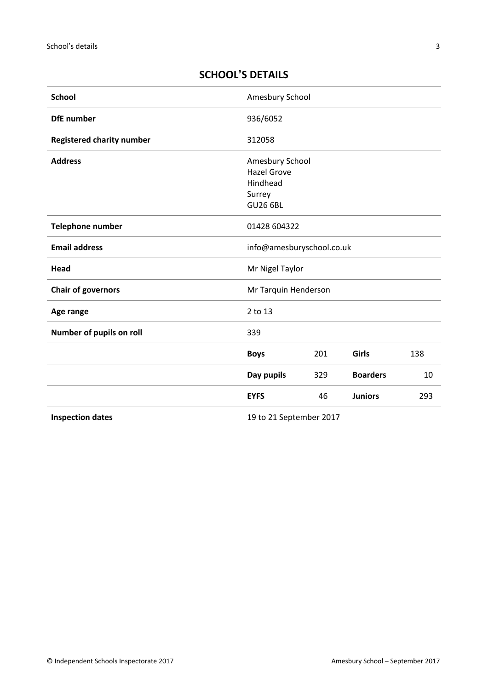# <span id="page-2-0"></span>**SCHOOL'S DETAILS**

| <b>School</b>                    | Amesbury School                                                                |     |                 |     |
|----------------------------------|--------------------------------------------------------------------------------|-----|-----------------|-----|
| <b>DfE</b> number                | 936/6052                                                                       |     |                 |     |
| <b>Registered charity number</b> | 312058                                                                         |     |                 |     |
| <b>Address</b>                   | Amesbury School<br><b>Hazel Grove</b><br>Hindhead<br>Surrey<br><b>GU26 6BL</b> |     |                 |     |
| Telephone number                 | 01428 604322                                                                   |     |                 |     |
| <b>Email address</b>             | info@amesburyschool.co.uk                                                      |     |                 |     |
| Head                             | Mr Nigel Taylor                                                                |     |                 |     |
| <b>Chair of governors</b>        | Mr Tarquin Henderson                                                           |     |                 |     |
| Age range                        | 2 to 13                                                                        |     |                 |     |
| Number of pupils on roll         | 339                                                                            |     |                 |     |
|                                  | <b>Boys</b>                                                                    | 201 | Girls           | 138 |
|                                  | Day pupils                                                                     | 329 | <b>Boarders</b> | 10  |
|                                  | <b>EYFS</b>                                                                    | 46  | <b>Juniors</b>  | 293 |
| <b>Inspection dates</b>          | 19 to 21 September 2017                                                        |     |                 |     |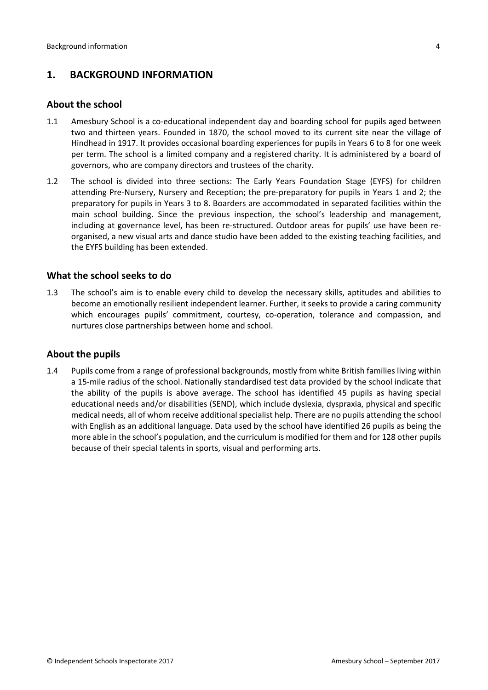# <span id="page-3-0"></span>**1. BACKGROUND INFORMATION**

#### <span id="page-3-1"></span>**About the school**

- 1.1 Amesbury School is a co-educational independent day and boarding school for pupils aged between two and thirteen years. Founded in 1870, the school moved to its current site near the village of Hindhead in 1917. It provides occasional boarding experiences for pupils in Years 6 to 8 for one week per term. The school is a limited company and a registered charity. It is administered by a board of governors, who are company directors and trustees of the charity.
- 1.2 The school is divided into three sections: The Early Years Foundation Stage (EYFS) for children attending Pre-Nursery, Nursery and Reception; the pre-preparatory for pupils in Years 1 and 2; the preparatory for pupils in Years 3 to 8. Boarders are accommodated in separated facilities within the main school building. Since the previous inspection, the school's leadership and management, including at governance level, has been re-structured. Outdoor areas for pupils' use have been reorganised, a new visual arts and dance studio have been added to the existing teaching facilities, and the EYFS building has been extended.

## <span id="page-3-2"></span>**What the school seeks to do**

1.3 The school's aim is to enable every child to develop the necessary skills, aptitudes and abilities to become an emotionally resilient independent learner. Further, it seeks to provide a caring community which encourages pupils' commitment, courtesy, co-operation, tolerance and compassion, and nurtures close partnerships between home and school.

#### <span id="page-3-3"></span>**About the pupils**

1.4 Pupils come from a range of professional backgrounds, mostly from white British families living within a 15-mile radius of the school. Nationally standardised test data provided by the school indicate that the ability of the pupils is above average. The school has identified 45 pupils as having special educational needs and/or disabilities (SEND), which include dyslexia, dyspraxia, physical and specific medical needs, all of whom receive additional specialist help. There are no pupils attending the school with English as an additional language. Data used by the school have identified 26 pupils as being the more able in the school's population, and the curriculum is modified for them and for 128 other pupils because of their special talents in sports, visual and performing arts.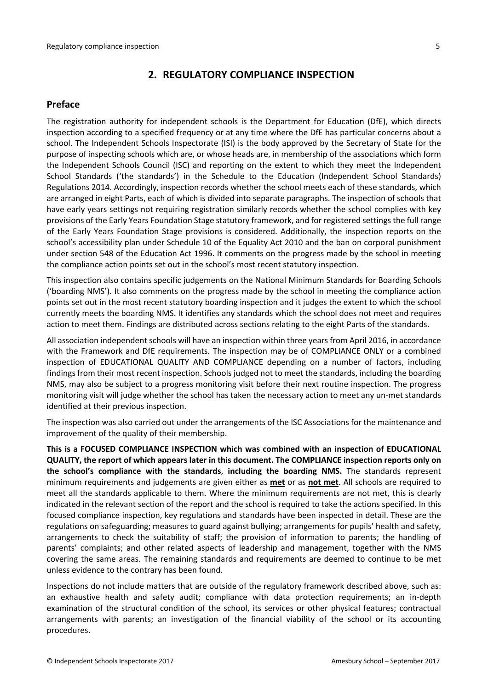#### <span id="page-4-0"></span>**2. REGULATORY COMPLIANCE INSPECTION**

#### <span id="page-4-1"></span>**Preface**

The registration authority for independent schools is the Department for Education (DfE), which directs inspection according to a specified frequency or at any time where the DfE has particular concerns about a school. The Independent Schools Inspectorate (ISI) is the body approved by the Secretary of State for the purpose of inspecting schools which are, or whose heads are, in membership of the associations which form the Independent Schools Council (ISC) and reporting on the extent to which they meet the Independent School Standards ('the standards') in the Schedule to the Education (Independent School Standards) Regulations 2014. Accordingly, inspection records whether the school meets each of these standards, which are arranged in eight Parts, each of which is divided into separate paragraphs. The inspection of schools that have early years settings not requiring registration similarly records whether the school complies with key provisions of the Early Years Foundation Stage statutory framework, and for registered settings the full range of the Early Years Foundation Stage provisions is considered. Additionally, the inspection reports on the school's accessibility plan under Schedule 10 of the Equality Act 2010 and the ban on corporal punishment under section 548 of the Education Act 1996. It comments on the progress made by the school in meeting the compliance action points set out in the school's most recent statutory inspection.

This inspection also contains specific judgements on the National Minimum Standards for Boarding Schools ('boarding NMS'). It also comments on the progress made by the school in meeting the compliance action points set out in the most recent statutory boarding inspection and it judges the extent to which the school currently meets the boarding NMS. It identifies any standards which the school does not meet and requires action to meet them. Findings are distributed across sections relating to the eight Parts of the standards.

All association independent schools will have an inspection within three yearsfrom April 2016, in accordance with the Framework and DfE requirements. The inspection may be of COMPLIANCE ONLY or a combined inspection of EDUCATIONAL QUALITY AND COMPLIANCE depending on a number of factors, including findings from their most recent inspection. Schools judged not to meet the standards, including the boarding NMS, may also be subject to a progress monitoring visit before their next routine inspection. The progress monitoring visit will judge whether the school has taken the necessary action to meet any un-met standards identified at their previous inspection.

The inspection was also carried out under the arrangements of the ISC Associations for the maintenance and improvement of the quality of their membership.

**This is a FOCUSED COMPLIANCE INSPECTION which was combined with an inspection of EDUCATIONAL QUALITY, the report of which appears later in this document. The COMPLIANCE inspection reports only on the school's compliance with the standards**, **including the boarding NMS.** The standards represent minimum requirements and judgements are given either as **met** or as **not met**. All schools are required to meet all the standards applicable to them. Where the minimum requirements are not met, this is clearly indicated in the relevant section of the report and the school is required to take the actions specified. In this focused compliance inspection, key regulations and standards have been inspected in detail. These are the regulations on safeguarding; measures to guard against bullying; arrangements for pupils' health and safety, arrangements to check the suitability of staff; the provision of information to parents; the handling of parents' complaints; and other related aspects of leadership and management, together with the NMS covering the same areas. The remaining standards and requirements are deemed to continue to be met unless evidence to the contrary has been found.

Inspections do not include matters that are outside of the regulatory framework described above, such as: an exhaustive health and safety audit; compliance with data protection requirements; an in-depth examination of the structural condition of the school, its services or other physical features; contractual arrangements with parents; an investigation of the financial viability of the school or its accounting procedures.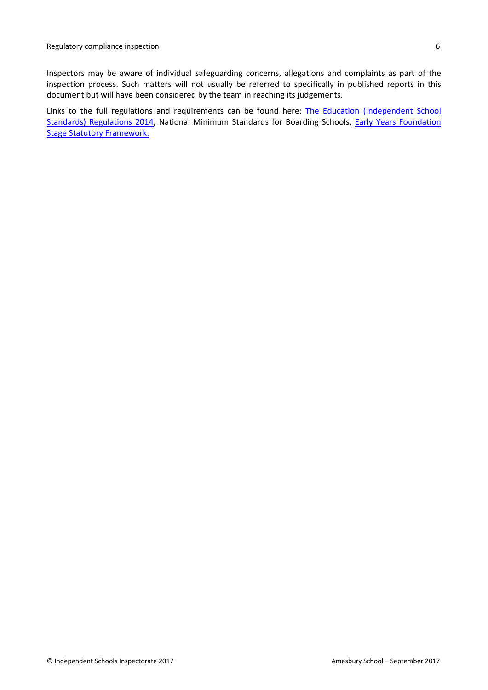Inspectors may be aware of individual safeguarding concerns, allegations and complaints as part of the inspection process. Such matters will not usually be referred to specifically in published reports in this document but will have been considered by the team in reaching its judgements.

Links to the full regulations and requirements can be found here: The Education [\(Independent](http://www.legislation.gov.uk/uksi/2014/3283/contents/made) School Standards) [Regulations](http://www.legislation.gov.uk/uksi/2014/3283/contents/made) 2014, National Minimum [Standards](https://www.gov.uk/government/uploads/system/uploads/attachment_data/file/416186/20150319_nms_bs_standards.pdf) for Boarding Schools, Early Years [Foundation](https://www.gov.uk/government/publications/early-years-foundation-stage-framework--2) Stage Statutory [Framework.](https://www.gov.uk/government/publications/early-years-foundation-stage-framework--2)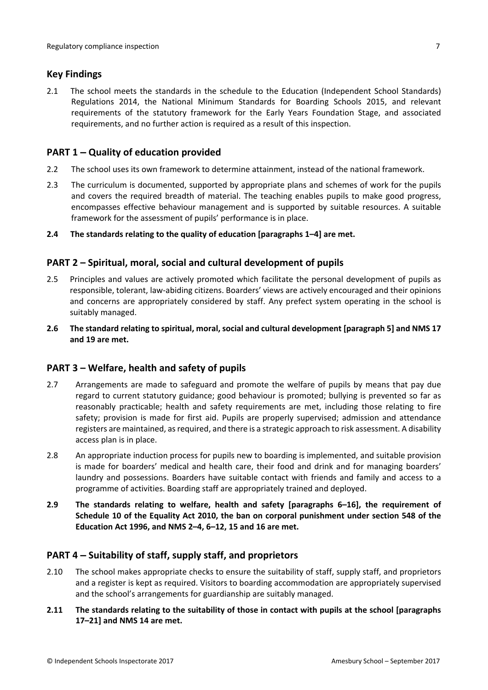## <span id="page-6-0"></span>**Key Findings**

2.1 The school meets the standards in the schedule to the Education (Independent School Standards) Regulations 2014, the National Minimum Standards for Boarding Schools 2015, and relevant requirements of the statutory framework for the Early Years Foundation Stage, and associated requirements, and no further action is required as a result of this inspection.

## <span id="page-6-1"></span>**PART 1 – Quality of education provided**

- 2.2 The school uses its own framework to determine attainment, instead of the national framework.
- 2.3 The curriculum is documented, supported by appropriate plans and schemes of work for the pupils and covers the required breadth of material. The teaching enables pupils to make good progress, encompasses effective behaviour management and is supported by suitable resources. A suitable framework for the assessment of pupils' performance is in place.
- **2.4 The standards relating to the quality of education [paragraphs 1–4] are met.**

## <span id="page-6-2"></span>**PART 2 – Spiritual, moral, social and cultural development of pupils**

- 2.5 Principles and values are actively promoted which facilitate the personal development of pupils as responsible, tolerant, law-abiding citizens. Boarders' views are actively encouraged and their opinions and concerns are appropriately considered by staff. Any prefect system operating in the school is suitably managed.
- **2.6 The standard relating to spiritual, moral, social and cultural development [paragraph 5] and NMS 17 and 19 are met.**

## <span id="page-6-3"></span>**PART 3 – Welfare, health and safety of pupils**

- 2.7 Arrangements are made to safeguard and promote the welfare of pupils by means that pay due regard to current statutory guidance; good behaviour is promoted; bullying is prevented so far as reasonably practicable; health and safety requirements are met, including those relating to fire safety; provision is made for first aid. Pupils are properly supervised; admission and attendance registers are maintained, asrequired, and there is a strategic approach to risk assessment. A disability access plan is in place.
- 2.8 An appropriate induction process for pupils new to boarding is implemented, and suitable provision is made for boarders' medical and health care, their food and drink and for managing boarders' laundry and possessions. Boarders have suitable contact with friends and family and access to a programme of activities. Boarding staff are appropriately trained and deployed.
- **2.9 The standards relating to welfare, health and safety [paragraphs 6–16], the requirement of Schedule 10 of the Equality Act 2010, the ban on corporal punishment under section 548 of the Education Act 1996, and NMS 2–4, 6–12, 15 and 16 are met.**

## <span id="page-6-4"></span>**PART 4 – Suitability of staff, supply staff, and proprietors**

- 2.10 The school makes appropriate checks to ensure the suitability of staff, supply staff, and proprietors and a register is kept as required. Visitors to boarding accommodation are appropriately supervised and the school's arrangements for guardianship are suitably managed.
- **2.11 The standards relating to the suitability of those in contact with pupils at the school [paragraphs 17–21] and NMS 14 are met.**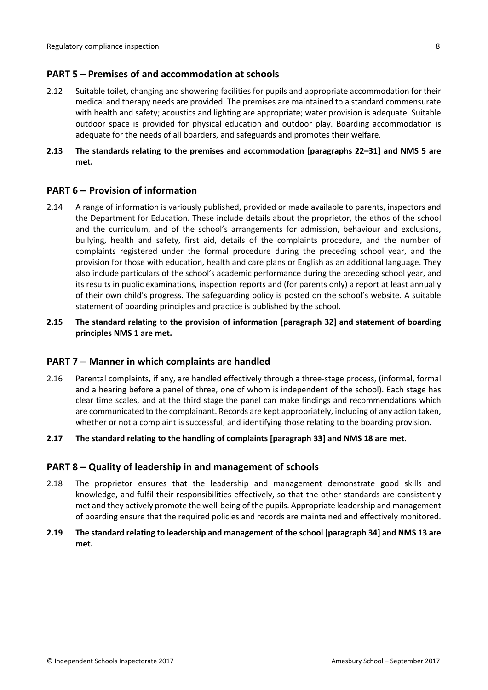## <span id="page-7-0"></span>**PART 5 – Premises of and accommodation at schools**

- 2.12 Suitable toilet, changing and showering facilities for pupils and appropriate accommodation for their medical and therapy needs are provided. The premises are maintained to a standard commensurate with health and safety; acoustics and lighting are appropriate; water provision is adequate. Suitable outdoor space is provided for physical education and outdoor play. Boarding accommodation is adequate for the needs of all boarders, and safeguards and promotes their welfare.
- **2.13 The standards relating to the premises and accommodation [paragraphs 22–31] and NMS 5 are met.**

## <span id="page-7-1"></span>**PART 6 – Provision of information**

- 2.14 A range of information is variously published, provided or made available to parents, inspectors and the Department for Education. These include details about the proprietor, the ethos of the school and the curriculum, and of the school's arrangements for admission, behaviour and exclusions, bullying, health and safety, first aid, details of the complaints procedure, and the number of complaints registered under the formal procedure during the preceding school year, and the provision for those with education, health and care plans or English as an additional language. They also include particulars of the school's academic performance during the preceding school year, and its results in public examinations, inspection reports and (for parents only) a report at least annually of their own child's progress. The safeguarding policy is posted on the school's website. A suitable statement of boarding principles and practice is published by the school.
- **2.15 The standard relating to the provision of information [paragraph 32] and statement of boarding principles NMS 1 are met.**

## <span id="page-7-2"></span>**PART 7 – Manner in which complaints are handled**

2.16 Parental complaints, if any, are handled effectively through a three-stage process, (informal, formal and a hearing before a panel of three, one of whom is independent of the school). Each stage has clear time scales, and at the third stage the panel can make findings and recommendations which are communicated to the complainant. Records are kept appropriately, including of any action taken, whether or not a complaint is successful, and identifying those relating to the boarding provision.

#### **2.17 The standard relating to the handling of complaints [paragraph 33] and NMS 18 are met.**

#### <span id="page-7-3"></span>**PART 8 – Quality of leadership in and management of schools**

2.18 The proprietor ensures that the leadership and management demonstrate good skills and knowledge, and fulfil their responsibilities effectively, so that the other standards are consistently met and they actively promote the well-being of the pupils. Appropriate leadership and management of boarding ensure that the required policies and records are maintained and effectively monitored.

#### **2.19 The standard relating to leadership and management of the school [paragraph 34] and NMS 13 are met.**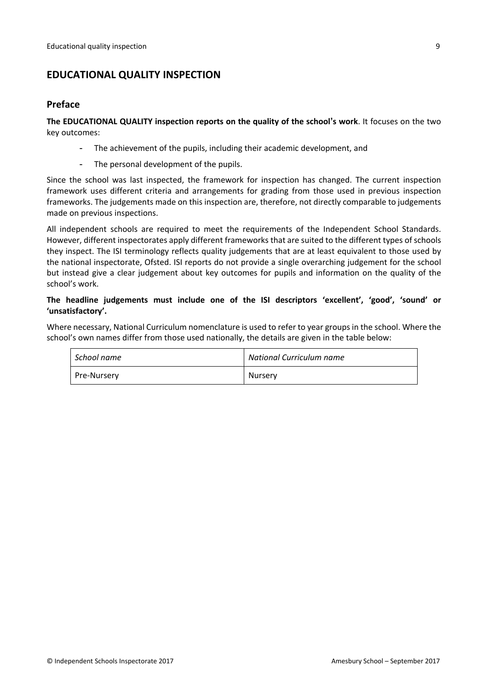# <span id="page-8-0"></span>**EDUCATIONAL QUALITY INSPECTION**

#### <span id="page-8-1"></span>**Preface**

**The EDUCATIONAL QUALITY inspection reports on the quality of the school's work**. It focuses on the two key outcomes:

- The achievement of the pupils, including their academic development, and
- The personal development of the pupils.

Since the school was last inspected, the framework for inspection has changed. The current inspection framework uses different criteria and arrangements for grading from those used in previous inspection frameworks. The judgements made on this inspection are, therefore, not directly comparable to judgements made on previous inspections.

All independent schools are required to meet the requirements of the Independent School Standards. However, different inspectorates apply different frameworks that are suited to the different types of schools they inspect. The ISI terminology reflects quality judgements that are at least equivalent to those used by the national inspectorate, Ofsted. ISI reports do not provide a single overarching judgement for the school but instead give a clear judgement about key outcomes for pupils and information on the quality of the school's work.

#### **The headline judgements must include one of the ISI descriptors 'excellent', 'good', 'sound' or 'unsatisfactory'.**

Where necessary, National Curriculum nomenclature is used to refer to year groups in the school. Where the school's own names differ from those used nationally, the details are given in the table below:

| ' School name | National Curriculum name |
|---------------|--------------------------|
| Pre-Nursery   | Nursery                  |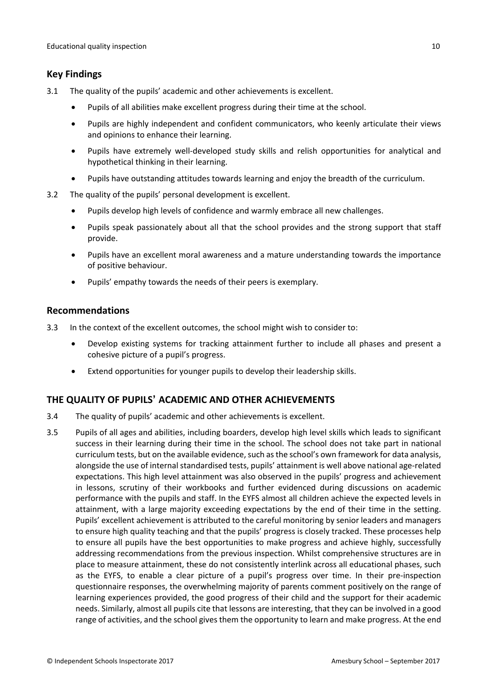# <span id="page-9-0"></span>**Key Findings**

- 3.1 The quality of the pupils' academic and other achievements is excellent.
	- Pupils of all abilities make excellent progress during their time at the school.
	- Pupils are highly independent and confident communicators, who keenly articulate their views and opinions to enhance their learning.
	- Pupils have extremely well-developed study skills and relish opportunities for analytical and hypothetical thinking in their learning.
	- Pupils have outstanding attitudes towards learning and enjoy the breadth of the curriculum.
- 3.2 The quality of the pupils' personal development is excellent.
	- Pupils develop high levels of confidence and warmly embrace all new challenges.
	- Pupils speak passionately about all that the school provides and the strong support that staff provide.
	- Pupils have an excellent moral awareness and a mature understanding towards the importance of positive behaviour.
	- Pupils' empathy towards the needs of their peers is exemplary.

## <span id="page-9-1"></span>**Recommendations**

- 3.3 In the context of the excellent outcomes, the school might wish to consider to:
	- Develop existing systems for tracking attainment further to include all phases and present a cohesive picture of a pupil's progress.
	- Extend opportunities for younger pupils to develop their leadership skills.

# <span id="page-9-2"></span>**THE QUALITY OF PUPILS' ACADEMIC AND OTHER ACHIEVEMENTS**

- 3.4 The quality of pupils' academic and other achievements is excellent.
- 3.5 Pupils of all ages and abilities, including boarders, develop high level skills which leads to significant success in their learning during their time in the school. The school does not take part in national curriculum tests, but on the available evidence, such as the school's own framework for data analysis, alongside the use of internal standardised tests, pupils' attainment is well above national age-related expectations. This high level attainment was also observed in the pupils' progress and achievement in lessons, scrutiny of their workbooks and further evidenced during discussions on academic performance with the pupils and staff. In the EYFS almost all children achieve the expected levels in attainment, with a large majority exceeding expectations by the end of their time in the setting. Pupils' excellent achievement is attributed to the careful monitoring by senior leaders and managers to ensure high quality teaching and that the pupils' progress is closely tracked. These processes help to ensure all pupils have the best opportunities to make progress and achieve highly, successfully addressing recommendations from the previous inspection. Whilst comprehensive structures are in place to measure attainment, these do not consistently interlink across all educational phases, such as the EYFS, to enable a clear picture of a pupil's progress over time. In their pre-inspection questionnaire responses, the overwhelming majority of parents comment positively on the range of learning experiences provided, the good progress of their child and the support for their academic needs. Similarly, almost all pupils cite that lessons are interesting, that they can be involved in a good range of activities, and the school gives them the opportunity to learn and make progress. At the end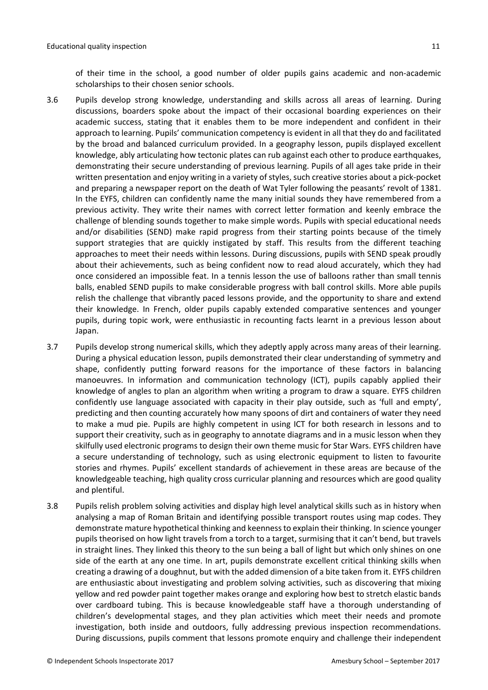of their time in the school, a good number of older pupils gains academic and non-academic scholarships to their chosen senior schools.

- 3.6 Pupils develop strong knowledge, understanding and skills across all areas of learning. During discussions, boarders spoke about the impact of their occasional boarding experiences on their academic success, stating that it enables them to be more independent and confident in their approach to learning. Pupils' communication competency is evident in all that they do and facilitated by the broad and balanced curriculum provided. In a geography lesson, pupils displayed excellent knowledge, ably articulating how tectonic plates can rub against each other to produce earthquakes, demonstrating their secure understanding of previous learning. Pupils of all ages take pride in their written presentation and enjoy writing in a variety of styles, such creative stories about a pick-pocket and preparing a newspaper report on the death of Wat Tyler following the peasants' revolt of 1381. In the EYFS, children can confidently name the many initial sounds they have remembered from a previous activity. They write their names with correct letter formation and keenly embrace the challenge of blending sounds together to make simple words. Pupils with special educational needs and/or disabilities (SEND) make rapid progress from their starting points because of the timely support strategies that are quickly instigated by staff. This results from the different teaching approaches to meet their needs within lessons. During discussions, pupils with SEND speak proudly about their achievements, such as being confident now to read aloud accurately, which they had once considered an impossible feat. In a tennis lesson the use of balloons rather than small tennis balls, enabled SEND pupils to make considerable progress with ball control skills. More able pupils relish the challenge that vibrantly paced lessons provide, and the opportunity to share and extend their knowledge. In French, older pupils capably extended comparative sentences and younger pupils, during topic work, were enthusiastic in recounting facts learnt in a previous lesson about Japan.
- 3.7 Pupils develop strong numerical skills, which they adeptly apply across many areas of their learning. During a physical education lesson, pupils demonstrated their clear understanding of symmetry and shape, confidently putting forward reasons for the importance of these factors in balancing manoeuvres. In information and communication technology (ICT), pupils capably applied their knowledge of angles to plan an algorithm when writing a program to draw a square. EYFS children confidently use language associated with capacity in their play outside, such as 'full and empty', predicting and then counting accurately how many spoons of dirt and containers of water they need to make a mud pie. Pupils are highly competent in using ICT for both research in lessons and to support their creativity, such as in geography to annotate diagrams and in a music lesson when they skilfully used electronic programs to design their own theme music for Star Wars. EYFS children have a secure understanding of technology, such as using electronic equipment to listen to favourite stories and rhymes. Pupils' excellent standards of achievement in these areas are because of the knowledgeable teaching, high quality cross curricular planning and resources which are good quality and plentiful.
- 3.8 Pupils relish problem solving activities and display high level analytical skills such as in history when analysing a map of Roman Britain and identifying possible transport routes using map codes. They demonstrate mature hypothetical thinking and keennessto explain their thinking. In science younger pupils theorised on how light travels from a torch to a target, surmising that it can't bend, but travels in straight lines. They linked this theory to the sun being a ball of light but which only shines on one side of the earth at any one time. In art, pupils demonstrate excellent critical thinking skills when creating a drawing of a doughnut, but with the added dimension of a bite taken from it. EYFS children are enthusiastic about investigating and problem solving activities, such as discovering that mixing yellow and red powder paint together makes orange and exploring how best to stretch elastic bands over cardboard tubing. This is because knowledgeable staff have a thorough understanding of children's developmental stages, and they plan activities which meet their needs and promote investigation, both inside and outdoors, fully addressing previous inspection recommendations. During discussions, pupils comment that lessons promote enquiry and challenge their independent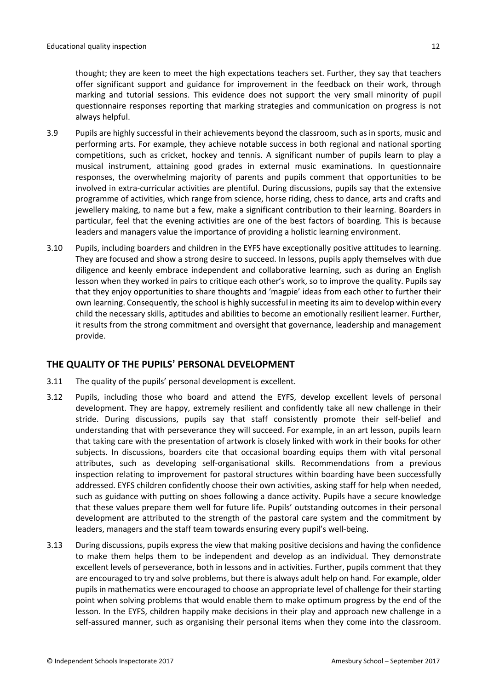thought; they are keen to meet the high expectations teachers set. Further, they say that teachers offer significant support and guidance for improvement in the feedback on their work, through marking and tutorial sessions. This evidence does not support the very small minority of pupil questionnaire responses reporting that marking strategies and communication on progress is not always helpful.

- 3.9 Pupils are highly successful in their achievements beyond the classroom, such as in sports, music and performing arts. For example, they achieve notable success in both regional and national sporting competitions, such as cricket, hockey and tennis. A significant number of pupils learn to play a musical instrument, attaining good grades in external music examinations. In questionnaire responses, the overwhelming majority of parents and pupils comment that opportunities to be involved in extra-curricular activities are plentiful. During discussions, pupils say that the extensive programme of activities, which range from science, horse riding, chess to dance, arts and crafts and jewellery making, to name but a few, make a significant contribution to their learning. Boarders in particular, feel that the evening activities are one of the best factors of boarding. This is because leaders and managers value the importance of providing a holistic learning environment.
- 3.10 Pupils, including boarders and children in the EYFS have exceptionally positive attitudes to learning. They are focused and show a strong desire to succeed. In lessons, pupils apply themselves with due diligence and keenly embrace independent and collaborative learning, such as during an English lesson when they worked in pairs to critique each other's work, so to improve the quality. Pupils say that they enjoy opportunities to share thoughts and 'magpie' ideas from each other to further their own learning. Consequently, the school is highly successful in meeting its aim to develop within every child the necessary skills, aptitudes and abilities to become an emotionally resilient learner. Further, it results from the strong commitment and oversight that governance, leadership and management provide.

# <span id="page-11-0"></span>**THE QUALITY OF THE PUPILS' PERSONAL DEVELOPMENT**

- 3.11 The quality of the pupils' personal development is excellent.
- 3.12 Pupils, including those who board and attend the EYFS, develop excellent levels of personal development. They are happy, extremely resilient and confidently take all new challenge in their stride. During discussions, pupils say that staff consistently promote their self-belief and understanding that with perseverance they will succeed. For example, in an art lesson, pupils learn that taking care with the presentation of artwork is closely linked with work in their books for other subjects. In discussions, boarders cite that occasional boarding equips them with vital personal attributes, such as developing self-organisational skills. Recommendations from a previous inspection relating to improvement for pastoral structures within boarding have been successfully addressed. EYFS children confidently choose their own activities, asking staff for help when needed, such as guidance with putting on shoes following a dance activity. Pupils have a secure knowledge that these values prepare them well for future life. Pupils' outstanding outcomes in their personal development are attributed to the strength of the pastoral care system and the commitment by leaders, managers and the staff team towards ensuring every pupil's well-being.
- 3.13 During discussions, pupils express the view that making positive decisions and having the confidence to make them helps them to be independent and develop as an individual. They demonstrate excellent levels of perseverance, both in lessons and in activities. Further, pupils comment that they are encouraged to try and solve problems, but there is always adult help on hand. For example, older pupils in mathematics were encouraged to choose an appropriate level of challenge for their starting point when solving problems that would enable them to make optimum progress by the end of the lesson. In the EYFS, children happily make decisions in their play and approach new challenge in a self-assured manner, such as organising their personal items when they come into the classroom.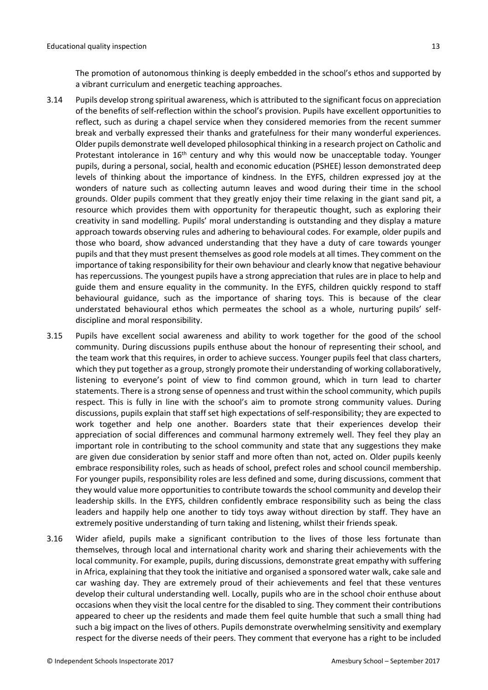The promotion of autonomous thinking is deeply embedded in the school's ethos and supported by a vibrant curriculum and energetic teaching approaches.

- 3.14 Pupils develop strong spiritual awareness, which is attributed to the significant focus on appreciation of the benefits of self-reflection within the school's provision. Pupils have excellent opportunities to reflect, such as during a chapel service when they considered memories from the recent summer break and verbally expressed their thanks and gratefulness for their many wonderful experiences. Older pupils demonstrate well developed philosophical thinking in a research project on Catholic and Protestant intolerance in 16<sup>th</sup> century and why this would now be unacceptable today. Younger pupils, during a personal, social, health and economic education (PSHEE) lesson demonstrated deep levels of thinking about the importance of kindness. In the EYFS, children expressed joy at the wonders of nature such as collecting autumn leaves and wood during their time in the school grounds. Older pupils comment that they greatly enjoy their time relaxing in the giant sand pit, a resource which provides them with opportunity for therapeutic thought, such as exploring their creativity in sand modelling. Pupils' moral understanding is outstanding and they display a mature approach towards observing rules and adhering to behavioural codes. For example, older pupils and those who board, show advanced understanding that they have a duty of care towards younger pupils and that they must present themselves as good role models at all times. They comment on the importance of taking responsibility for their own behaviour and clearly know that negative behaviour has repercussions. The youngest pupils have a strong appreciation that rules are in place to help and guide them and ensure equality in the community. In the EYFS, children quickly respond to staff behavioural guidance, such as the importance of sharing toys. This is because of the clear understated behavioural ethos which permeates the school as a whole, nurturing pupils' selfdiscipline and moral responsibility.
- 3.15 Pupils have excellent social awareness and ability to work together for the good of the school community. During discussions pupils enthuse about the honour of representing their school, and the team work that this requires, in order to achieve success. Younger pupils feel that class charters, which they put together as a group, strongly promote their understanding of working collaboratively, listening to everyone's point of view to find common ground, which in turn lead to charter statements. There is a strong sense of openness and trust within the school community, which pupils respect. This is fully in line with the school's aim to promote strong community values. During discussions, pupils explain that staff set high expectations of self-responsibility; they are expected to work together and help one another. Boarders state that their experiences develop their appreciation of social differences and communal harmony extremely well. They feel they play an important role in contributing to the school community and state that any suggestions they make are given due consideration by senior staff and more often than not, acted on. Older pupils keenly embrace responsibility roles, such as heads of school, prefect roles and school council membership. For younger pupils, responsibility roles are less defined and some, during discussions, comment that they would value more opportunities to contribute towards the school community and develop their leadership skills. In the EYFS, children confidently embrace responsibility such as being the class leaders and happily help one another to tidy toys away without direction by staff. They have an extremely positive understanding of turn taking and listening, whilst their friends speak.
- 3.16 Wider afield, pupils make a significant contribution to the lives of those less fortunate than themselves, through local and international charity work and sharing their achievements with the local community. For example, pupils, during discussions, demonstrate great empathy with suffering in Africa, explaining that they took the initiative and organised a sponsored water walk, cake sale and car washing day. They are extremely proud of their achievements and feel that these ventures develop their cultural understanding well. Locally, pupils who are in the school choir enthuse about occasions when they visit the local centre for the disabled to sing. They comment their contributions appeared to cheer up the residents and made them feel quite humble that such a small thing had such a big impact on the lives of others. Pupils demonstrate overwhelming sensitivity and exemplary respect for the diverse needs of their peers. They comment that everyone has a right to be included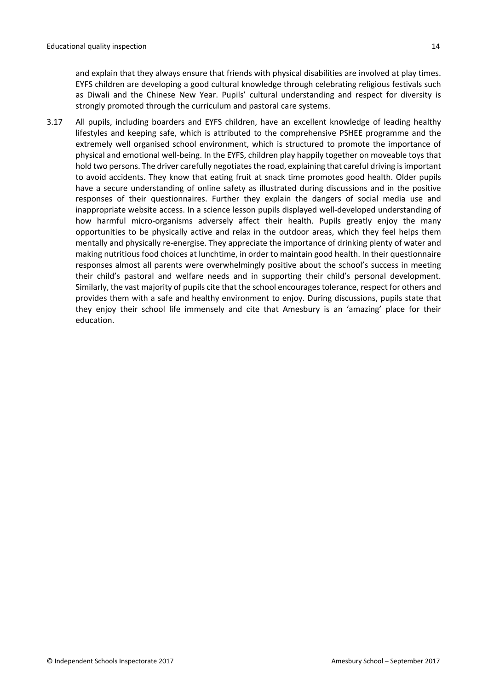and explain that they always ensure that friends with physical disabilities are involved at play times. EYFS children are developing a good cultural knowledge through celebrating religious festivals such as Diwali and the Chinese New Year. Pupils' cultural understanding and respect for diversity is strongly promoted through the curriculum and pastoral care systems.

3.17 All pupils, including boarders and EYFS children, have an excellent knowledge of leading healthy lifestyles and keeping safe, which is attributed to the comprehensive PSHEE programme and the extremely well organised school environment, which is structured to promote the importance of physical and emotional well-being. In the EYFS, children play happily together on moveable toys that hold two persons. The driver carefully negotiates the road, explaining that careful driving is important to avoid accidents. They know that eating fruit at snack time promotes good health. Older pupils have a secure understanding of online safety as illustrated during discussions and in the positive responses of their questionnaires. Further they explain the dangers of social media use and inappropriate website access. In a science lesson pupils displayed well-developed understanding of how harmful micro-organisms adversely affect their health. Pupils greatly enjoy the many opportunities to be physically active and relax in the outdoor areas, which they feel helps them mentally and physically re-energise. They appreciate the importance of drinking plenty of water and making nutritious food choices at lunchtime, in order to maintain good health. In their questionnaire responses almost all parents were overwhelmingly positive about the school's success in meeting their child's pastoral and welfare needs and in supporting their child's personal development. Similarly, the vast majority of pupils cite that the school encourages tolerance, respect for others and provides them with a safe and healthy environment to enjoy. During discussions, pupils state that they enjoy their school life immensely and cite that Amesbury is an 'amazing' place for their education.